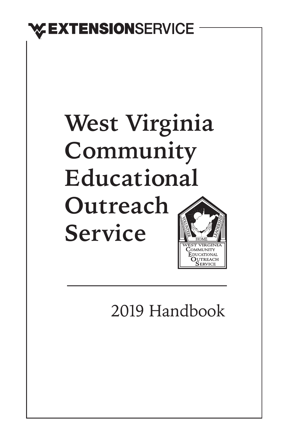# **EXTENSION**SERVICE

# **West Virginia Community Educational Outreach Service**

2019 Handbook

**JTREACH**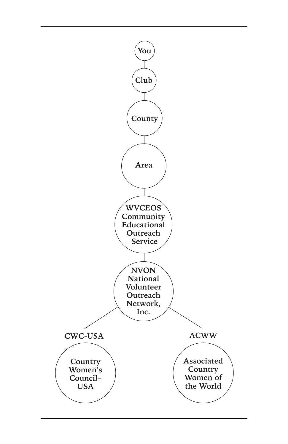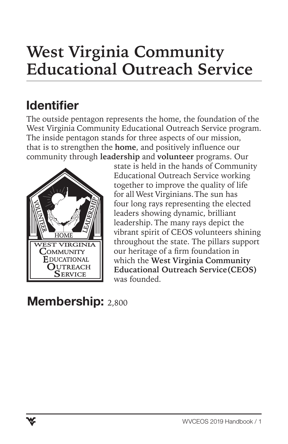# **West Virginia Community Educational Outreach Service**

# Identifier

The outside pentagon represents the home, the foundation of the West Virginia Community Educational Outreach Service program. The inside pentagon stands for three aspects of our mission, that is to strengthen the **home**, and positively influence our community through **leadership** and **volunteer** programs. Our



state is held in the hands of Community Educational Outreach Service working together to improve the quality of life for all West Virginians. The sun has four long rays representing the elected leaders showing dynamic, brilliant leadership. The many rays depict the vibrant spirit of CEOS volunteers shining throughout the state. The pillars support our heritage of a firm foundation in which the **West Virginia Community Educational Outreach Service(CEOS)** was founded.

### Membership: 2,800

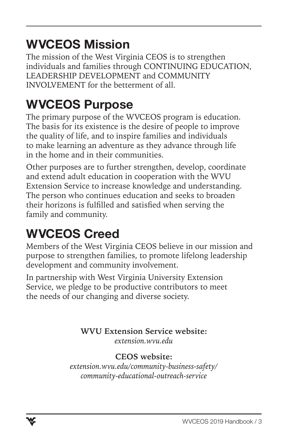# WVCEOS Mission

The mission of the West Virginia CEOS is to strengthen individuals and families through CONTINUING EDUCATION, LEADERSHIP DEVELOPMENT and COMMUNITY INVOLVEMENT for the betterment of all.

## WVCEOS Purpose

The primary purpose of the WVCEOS program is education. The basis for its existence is the desire of people to improve the quality of life, and to inspire families and individuals to make learning an adventure as they advance through life in the home and in their communities.

Other purposes are to further strengthen, develop, coordinate and extend adult education in cooperation with the WVU Extension Service to increase knowledge and understanding. The person who continues education and seeks to broaden their horizons is fulfilled and satisfied when serving the family and community.

# WVCEOS Creed

Members of the West Virginia CEOS believe in our mission and purpose to strengthen families, to promote lifelong leadership development and community involvement.

In partnership with West Virginia University Extension Service, we pledge to be productive contributors to meet the needs of our changing and diverse society.

> **WVU Extension Service website:** *extension.wvu.edu*

#### **CEOS website:**

*extension.wvu.edu/community-business-safety/ community-educational-outreach-service*

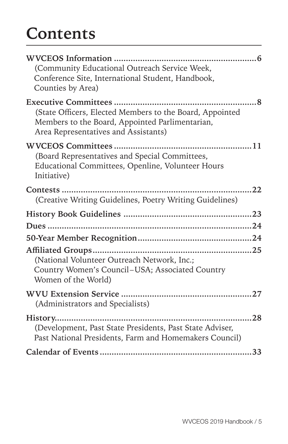# **Contents**

| (Community Educational Outreach Service Week,                                                                                                       |  |
|-----------------------------------------------------------------------------------------------------------------------------------------------------|--|
| Conference Site, International Student, Handbook,<br>Counties by Area)                                                                              |  |
| (State Officers, Elected Members to the Board, Appointed<br>Members to the Board, Appointed Parlimentarian,<br>Area Representatives and Assistants) |  |
| (Board Representatives and Special Committees,<br>Educational Committees, Openline, Volunteer Hours<br>Initiative)                                  |  |
| (Creative Writing Guidelines, Poetry Writing Guidelines)                                                                                            |  |
|                                                                                                                                                     |  |
|                                                                                                                                                     |  |
|                                                                                                                                                     |  |
|                                                                                                                                                     |  |
| (National Volunteer Outreach Network, Inc.;<br>Country Women's Council-USA; Associated Country<br>Women of the World)                               |  |
| (Administrators and Specialists)                                                                                                                    |  |
| (Development, Past State Presidents, Past State Adviser,<br>Past National Presidents, Farm and Homemakers Council)                                  |  |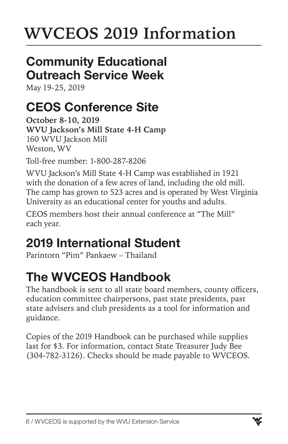# **WVCEOS 2019 Information**

## Community Educational Outreach Service Week

May 19-25, 2019

# CEOS Conference Site

**October 8-10, 2019 WVU Jackson's Mill State 4-H Camp** 160 WVU Jackson Mill Weston, WV

Toll-free number: 1-800-287-8206

WVU Jackson's Mill State 4-H Camp was established in 1921 with the donation of a few acres of land, including the old mill. The camp has grown to 523 acres and is operated by West Virginia University as an educational center for youths and adults.

CEOS members host their annual conference at "The Mill" each year.

# 2019 International Student

Parintorn "Pim" Pankaew – Thailand

# The WVCEOS Handbook

The handbook is sent to all state board members, county officers, education committee chairpersons, past state presidents, past state advisers and club presidents as a tool for information and guidance.

Copies of the 2019 Handbook can be purchased while supplies last for \$3. For information, contact State Treasurer Judy Bee (304-782-3126). Checks should be made payable to WVCEOS.

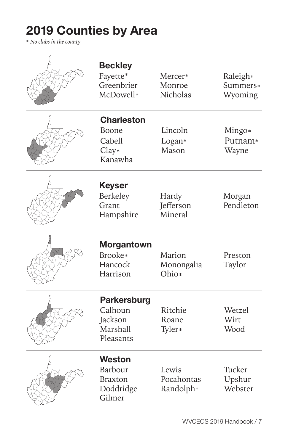# 2019 Counties by Area

\* *No clubs in the county*

| <b>Beckley</b><br>Fayette*<br>Greenbrier<br>McDowell*             | Mercer*<br>Monroe<br>Nicholas    | Raleigh*<br>Summers*<br>Wyoming |
|-------------------------------------------------------------------|----------------------------------|---------------------------------|
| <b>Charleston</b><br>Boone<br>Cabell<br>$Clay*$<br>Kanawha        | Lincoln<br>Logan*<br>Mason       | Mingo*<br>Putnam*<br>Wayne      |
| Keyser<br>Berkeley<br>Grant<br>Hampshire                          | Hardy<br>Jefferson<br>Mineral    | Morgan<br>Pendleton             |
| <b>Morgantown</b><br>Brooke*<br>Hancock<br>Harrison               | Marion<br>Monongalia<br>Ohio*    | Preston<br>Taylor               |
| <b>Parkersburg</b><br>Calhoun<br>Jackson<br>Marshall<br>Pleasants | Ritchie<br>Roane<br>Tyler*       | Wetzel<br>Wirt<br>Wood          |
| <b>Weston</b><br>Barbour<br>Braxton<br>Doddridge<br>Gilmer        | Lewis<br>Pocahontas<br>Randolph* | Tucker<br>Upshur<br>Webster     |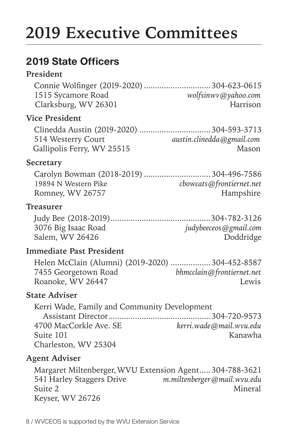# **2019 Executive Committees**

### 2019 State Officers

#### **President**

| wolfsinwy@yahoo.com |
|---------------------|
| Harrison            |
|                     |

#### **Vice President**

Clinedda Austin (2019-2020) ................................304-593-3713 514 Westerry Court *austin.clinedda@gmail.com* Gallipolis Ferry, WV 25515 Mason

#### **Secretary**

Carolyn Bowman (2018-2019) ..............................304-496-7586 19894 N Western Pike *cbowcats@frontiernet.net* Romney, WV 26757 Hampshire

#### **Treasurer**

| 3076 Big Isaac Road | judybeeceos@gmail.com |
|---------------------|-----------------------|
| Salem, WV 26426     | Doddridge             |

#### **Immediate Past President**

|                      | Helen McClain (Alumni) (2019-2020)  304-452-8587 |
|----------------------|--------------------------------------------------|
| 7455 Georgetown Road | bhmcclain@frontiernet.net                        |
| Roanoke, WV 26447    | Lewis                                            |

#### **State Adviser**

| Kerri Wade, Family and Community Development |                         |
|----------------------------------------------|-------------------------|
|                                              |                         |
| 4700 MacCorkle Ave. SE                       | kerri.wade@mail.wvu.edu |
| Suite 101                                    | Kanawha                 |
| Charleston, WV 25304                         |                         |

#### **Agent Adviser**

Margaret Miltenberger, WVU Extension Agent.....304-788-3621 541 Harley Staggers Drive *m.miltenberger@mail.wvu.edu* Suite 2 Mineral Keyser, WV 26726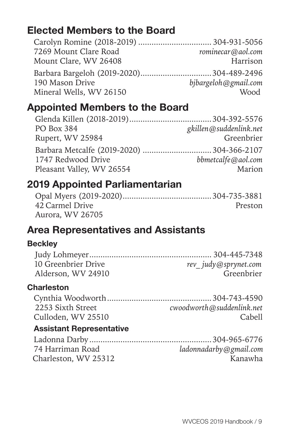### Elected Members to the Board

| 7269 Mount Clare Road   | rominecar@aol.com    |
|-------------------------|----------------------|
| Mount Clare, WV 26408   | Harrison             |
|                         |                      |
| 190 Mason Drive         | bjbargeloh@gmail.com |
| Mineral Wells, WV 26150 | Mood                 |

### Appointed Members to the Board

| PO Box 384                | gkillen@suddenlink.net |
|---------------------------|------------------------|
| Rupert, WV 25984          | Greenbrier             |
|                           |                        |
| 1747 Redwood Drive        | bbmetcalfe@aol.com     |
| Pleasant Valley, WV 26554 | Marion                 |

### 2019 Appointed Parliamentarian

| 42 Carmel Drive  | Preston |
|------------------|---------|
| Aurora, WV 26705 |         |

### Area Representatives and Assistants

#### **Beckley**

| 10 Greenbrier Drive | rev judy@sprynet.com |
|---------------------|----------------------|
| Alderson, WV 24910  | Greenbrier           |

#### **Charleston**

| 2253 Sixth Street  | cwoodworth@suddenlink.net |
|--------------------|---------------------------|
| Culloden, WV 25510 | Cabell                    |

#### Assistant Representative

| -74 Harriman Road    | ladonnadarby@gmail.com |
|----------------------|------------------------|
| Charleston, WV 25312 | Kanawha                |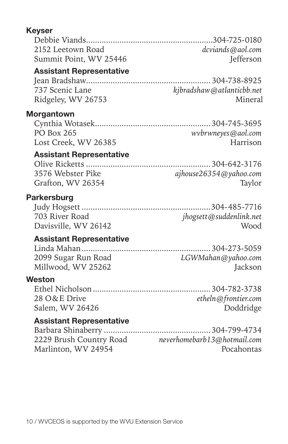#### Keyser

| 2152 Leetown Road      | dcviands@aol.com |
|------------------------|------------------|
| Summit Point, WV 25446 | <b>Jefferson</b> |

#### Assistant Representative

Jean Bradshaw........................................................ 304-738-8925 737 Scenic Lane *kjbradshaw@atlanticbb.net* Ridgeley, WV 26753 Mineral

#### Morgantown

| PO Box 265           | wvbrwneyes@aol.com |
|----------------------|--------------------|
| Lost Creek, WV 26385 | Harrison           |

#### Assistant Representative

Olive Ricketts ........................................................304-642-3176 3576 Webster Pike.................................*ajhouse26354@yahoo.com* Grafton, WV 26354 ............................................................Taylor

#### **Parkersburg**

| 703 River Road       | jhogsett @ suddenlink.net |
|----------------------|---------------------------|
| Davisville, WV 26142 | Wood                      |

#### Assistant Representative

| 2099 Sugar Run Road | LGWMahan@yahoo.com |
|---------------------|--------------------|
| Millwood, WV 25262  | Jackson            |

#### **Weston**

| 28 O&E Drive    | etheln@frontier.com |
|-----------------|---------------------|
| Salem, WV 26426 | Doddridge           |

#### Assistant Representative

| neverhomebarb13@hotmail.com |
|-----------------------------|
| Pocahontas                  |
|                             |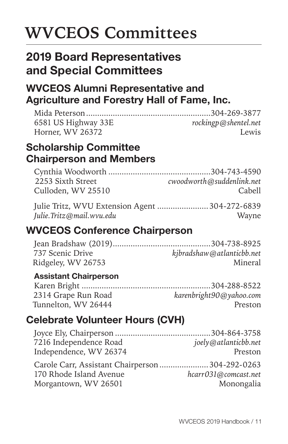# **WVCEOS Committees**

### 2019 Board Representatives and Special Committees

### WVCEOS Alumni Representative and Agriculture and Forestry Hall of Fame, Inc.

| rockingp@shentel.net |
|----------------------|
| Lewis                |
|                      |

### Scholarship Committee Chairperson and Members

| 2253 Sixth Street  | cwoodworth@suddenlink.net |
|--------------------|---------------------------|
| Culloden, WV 25510 | Cabell                    |
|                    |                           |

| Julie Tritz, WVU Extension Agent  304-272-6839 |       |
|------------------------------------------------|-------|
| Julie.Tritz@mail.wvu.edu                       | Wayne |

### WVCEOS Conference Chairperson

| kjbradshaw@atlanticbb.net |
|---------------------------|
| Mineral                   |
|                           |

#### Assistant Chairperson

| 2314 Grape Run Road | karenbright90@yahoo.com |
|---------------------|-------------------------|
| Tunnelton, WV 26444 | Preston                 |

### Celebrate Volunteer Hours (CVH)

| 7216 Independence Road                          | joely@atlanticbb.net |
|-------------------------------------------------|----------------------|
| Independence, WV 26374                          | Preston              |
| Carole Carr, Assistant Chairperson 304-292-0263 |                      |
| 170 Rhode Island Avenue                         | hcarr031@comcast.net |
| Morgantown, WV 26501                            | Monongalia           |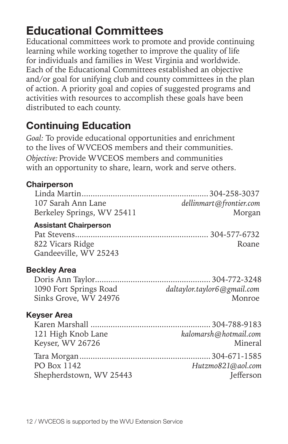## Educational Committees

Educational committees work to promote and provide continuing learning while working together to improve the quality of life for individuals and families in West Virginia and worldwide. Each of the Educational Committees established an objective and/or goal for unifying club and county committees in the plan of action. A priority goal and copies of suggested programs and activities with resources to accomplish these goals have been distributed to each county.

### Continuing Education

*Goal:* To provide educational opportunities and enrichment to the lives of WVCEOS members and their communities. *Objective:* Provide WVCEOS members and communities with an opportunity to share, learn, work and serve others.

| <b>Chairperson</b>                                                        |                                       |
|---------------------------------------------------------------------------|---------------------------------------|
| 107 Sarah Ann Lane<br>Berkeley Springs, WV 25411                          | dellinmart@frontier.com<br>Morgan     |
| <b>Assistant Chairperson</b><br>822 Vicars Ridge<br>Gandeeville, WV 25243 | Roane                                 |
| <b>Beckley Area</b><br>1090 Fort Springs Road<br>Sinks Grove, WV 24976    | daltaylor.taylor6@gmail.com<br>Monroe |
| <b>Keyser Area</b><br>121 High Knob Lane<br>Keyser, WV 26726              | kalomarsh@hotmail.com<br>Mineral      |
| PO Box 1142<br>Shepherdstown, WV 25443                                    | Hutzmo821@aol.com<br>Jefferson        |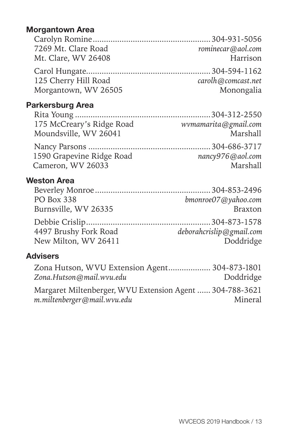#### Morgantown Area

| 7269 Mt. Clare Road  | rominecar@aol.com         |
|----------------------|---------------------------|
| Mt. Clare, WV 26408  | Harrison                  |
|                      |                           |
| 125 Cherry Hill Road | $\c{arolh} @ comcast.net$ |
| Morgantown, WV 26505 | Monongalia                |

#### Parkersburg Area

| wvmamarita@gmail.com |
|----------------------|
| Marshall             |
|                      |
| nancy976@aol.com     |
| Marshall             |
|                      |

#### Weston Area

| PO Box 338            | bmonroe07@yahoo.com      |
|-----------------------|--------------------------|
| Burnsville, WV 26335  | <b>Braxton</b>           |
|                       |                          |
| 4497 Brushy Fork Road | deborahcrislip@gmail.com |
| New Milton, WV 26411  | Doddridge                |
|                       |                          |

#### Advisers

| Zona Hutson, WVU Extension Agent 304-873-1801            |           |
|----------------------------------------------------------|-----------|
| Zona.Hutson@mail.wvu.edu                                 | Doddridge |
| Margaret Miltenberger, WVU Extension Agent  304-788-3621 |           |
| m.miltenberger@mail.wvu.edu                              | Mineral   |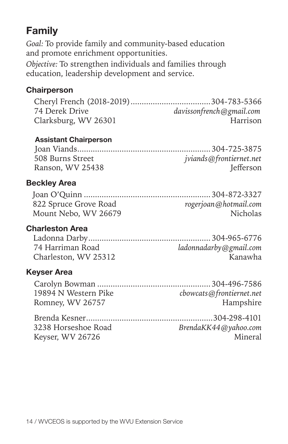### Family

*Goal:* To provide family and community-based education and promote enrichment opportunities. *Objective:* To strengthen individuals and families through education, leadership development and service.

#### **Chairperson**

Cheryl French (2018-2019)....................................304-783-5366 74 Derek Drive *davissonfrench@gmail.com* Clarksburg, WV 26301.................................................. Harrison

#### Assistant Chairperson

| 508 Burns Street | jviands@frontiernet.net |
|------------------|-------------------------|
| Ranson, WV 25438 | <b>Jefferson</b>        |

#### Beckley Area

| 822 Spruce Grove Road | rogerjoan@hotmail.com |
|-----------------------|-----------------------|
| Mount Nebo, WV 26679  | Nicholas              |

#### Charleston Area

| 74 Harriman Road     | ladonnadarby@gmail.com |
|----------------------|------------------------|
| Charleston, WV 25312 | Kanawha                |

#### Keyser Area

| 19894 N Western Pike | cbowcats@frontiernet.net |
|----------------------|--------------------------|
| Romney, WV 26757     | Hampshire                |

| 3238 Horseshoe Road | BrendaKK44@yahoo.com |
|---------------------|----------------------|
| Keyser, WV 26726    | Mineral              |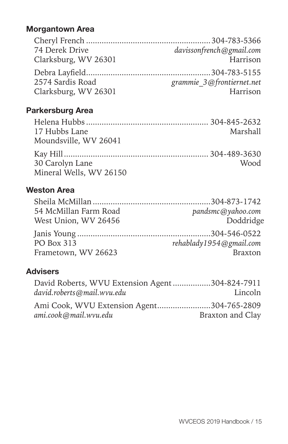#### Morgantown Area

| 74 Derek Drive       | davissonfrench@gmail.com  |
|----------------------|---------------------------|
| Clarksburg, WV 26301 | Harrison                  |
|                      |                           |
| 2574 Sardis Road     | grammie 3@frontiernet.net |
| Clarksburg, WV 26301 | Harrison                  |

#### Parkersburg Area

| 17 Hubbs Lane           | Marshall    |
|-------------------------|-------------|
| Moundsville, WV 26041   |             |
|                         |             |
| 30 Carolyn Lane         | <b>Wood</b> |
| Mineral Wells, WV 26150 |             |

#### Weston Area

| 54 McMillan Farm Road | pandsmc@yahoo.com       |
|-----------------------|-------------------------|
| West Union, WV 26456  | Doddridge               |
|                       |                         |
| PO Box 313            | rehablady1954@gmail.com |
| Frametown, WV 26623   | <b>Braxton</b>          |

#### Advisers

| David Roberts, WVU Extension Agent304-824-7911 |                  |
|------------------------------------------------|------------------|
| david.roberts@mail.wvu.edu                     | Lincoln          |
| Ami Cook, WVU Extension Agent304-765-2809      |                  |
| ami.cook@mail.wvu.edu                          | Braxton and Clay |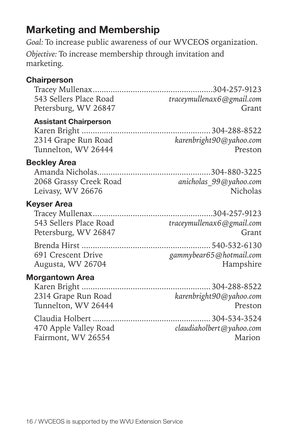### Marketing and Membership

*Goal:* To increase public awareness of our WVCEOS organization. *Objective:* To increase membership through invitation and marketing.

#### **Chairperson**

|                              | $\ldots$ 304-257-9123     |
|------------------------------|---------------------------|
| 543 Sellers Place Road       | traceymullenax6@gmail.com |
| Petersburg, WV 26847         | Grant                     |
| <b>Assistant Chairperson</b> |                           |
|                              | .304-288-8522             |
| 2314 Grape Run Road          | karenbright90@yahoo.com   |
| Tunnelton, WV 26444          | Preston                   |
| <b>Beckley Area</b>          |                           |
| Amanda Nicholas              | 304-880-3225              |
| 2068 Grassy Creek Road       | anicholas_99@yahoo.com    |
| Leivasy, WV 26676            | Nicholas                  |
| <b>Keyser Area</b>           |                           |
|                              | 304-257-9123              |
| 543 Sellers Place Road       | traceymullenax6@gmail.com |
| Petersburg, WV 26847         | Grant                     |
|                              | $\ldots$ 540-532-6130     |
| 691 Crescent Drive           | gammybear65@hotmail.com   |
| Augusta, WV 26704            | Hampshire                 |
| <b>Morgantown Area</b>       |                           |
|                              | 304-288-8522              |
| 2314 Grape Run Road          | karenbright90@yahoo.com   |
| Tunnelton, WV 26444          | Preston                   |
|                              | 304-534-3524              |
| 470 Apple Valley Road        | claudiaholbert@yahoo.com  |
| Fairmont, WV 26554           | Marion                    |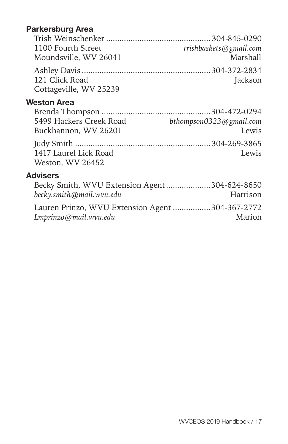#### Parkersburg Area

| 1100 Fourth Street     | trishbaskets@gmail.com |
|------------------------|------------------------|
| Moundsville, WV 26041  | Marshall               |
|                        |                        |
| 121 Click Road         | Jackson                |
| Cottageville, WV 25239 |                        |

#### Weston Area

| 5499 Hackers Creek Road | bthompson0323@gmail.com |
|-------------------------|-------------------------|
| Buckhannon, WV 26201    | Lewis                   |
|                         |                         |
| 1417 Laurel Lick Road   | Lewis                   |
| Weston, WV 26452        |                         |

#### Advisers

| Becky Smith, WVU Extension Agent304-624-8650    |          |
|-------------------------------------------------|----------|
| becky.smith@mail.wvu.edu                        | Harrison |
| Lauren Prinzo, WVU Extension Agent 304-367-2772 |          |
| Lmprinzo@mail.wvu.edu                           | Marion   |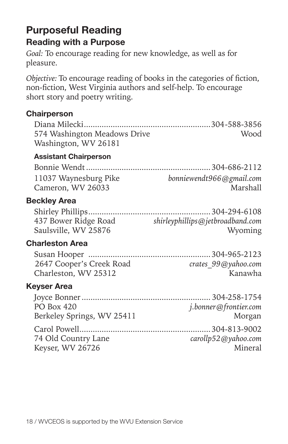### Purposeful Reading Reading with a Purpose

*Goal:* To encourage reading for new knowledge, as well as for pleasure.

*Objective:* To encourage reading of books in the categories of fiction, non-fiction, West Virginia authors and self-help. To encourage short story and poetry writing.

#### **Chairperson**

| 574 Washington Meadows Drive<br>Washington, WV 26181 | Wood                                 |
|------------------------------------------------------|--------------------------------------|
| <b>Assistant Chairperson</b>                         |                                      |
|                                                      |                                      |
| 11037 Waynesburg Pike<br>Cameron, WV 26033           | bonniewendt966@gmail.com<br>Marshall |
| <b>Beckley Area</b>                                  |                                      |
|                                                      |                                      |
| 437 Bower Ridge Road                                 | shirleyphillips@jetbroadband.com     |
| Saulsville, WV 25876                                 | Wyoming                              |
| <b>Charleston Area</b>                               |                                      |
|                                                      |                                      |
| 2647 Cooper's Creek Road                             | crates 99@yahoo.com                  |
| Charleston, WV 25312                                 | Kanawha                              |
| Keyser Area                                          |                                      |
|                                                      |                                      |
| <b>PO Box 420</b>                                    | j.bonner@frontier.com                |
| Berkeley Springs, WV 25411                           | Morgan                               |
|                                                      |                                      |
| 74 Old Country Lane                                  | carollp52@yahoo.com                  |
| Keyser, WV 26726                                     | Mineral                              |
|                                                      |                                      |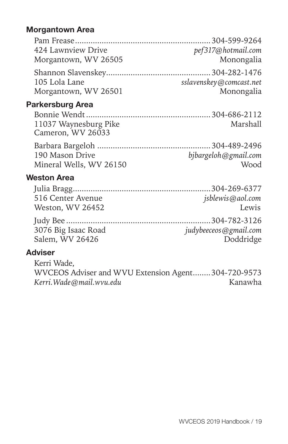#### Morgantown Area

| pef317@hotmail.com      |
|-------------------------|
| Monongalia              |
|                         |
| sslavenskey@comcast.net |
| Monongalia              |
|                         |

#### Parkersburg Area

| 11037 Waynesburg Pike | Marshall |
|-----------------------|----------|
| Cameron, WV 26033     |          |

| 190 Mason Drive         | bjbargeloh@gmail.com |
|-------------------------|----------------------|
| Mineral Wells, WV 26150 | Wood                 |

#### Weston Area

| 516 Center Avenue   | jsblewis@aol.com         |
|---------------------|--------------------------|
| Weston, WV 26452    | Lewis                    |
|                     |                          |
| 3076 Big Isaac Road | $judy$ beeceos@gmail.com |
| Salem, WV 26426     | Doddridge                |
|                     |                          |

#### Adviser

Kerri Wade, WVCEOS Adviser and WVU Extension Agent........304-720-9573<br>Kerri.Wade@mail.wvu.edu Kanawha *Kerri.Wade@mail.wvu.edu*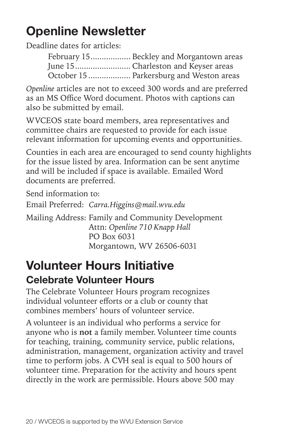# Openline Newsletter

Deadline dates for articles:

February 15.................. Beckley and Morgantown areas June 15......................... Charleston and Keyser areas October 15 ................... Parkersburg and Weston areas

*Openline* articles are not to exceed 300 words and are preferred as an MS Office Word document. Photos with captions can also be submitted by email.

WVCEOS state board members, area representatives and committee chairs are requested to provide for each issue relevant information for upcoming events and opportunities.

Counties in each area are encouraged to send county highlights for the issue listed by area. Information can be sent anytime and will be included if space is available. Emailed Word documents are preferred.

Send information to:

Email Preferred: *Carra.Higgins@mail.wvu.edu*

Mailing Address: Family and Community Development Attn: *Openline 710 Knapp Hall*  PO Box 6031 Morgantown, WV 26506-6031

### Volunteer Hours Initiative Celebrate Volunteer Hours

The Celebrate Volunteer Hours program recognizes individual volunteer efforts or a club or county that combines members' hours of volunteer service.

A volunteer is an individual who performs a service for anyone who is **not** a family member. Volunteer time counts for teaching, training, community service, public relations, administration, management, organization activity and travel time to perform jobs. A CVH seal is equal to 500 hours of volunteer time. Preparation for the activity and hours spent directly in the work are permissible. Hours above 500 may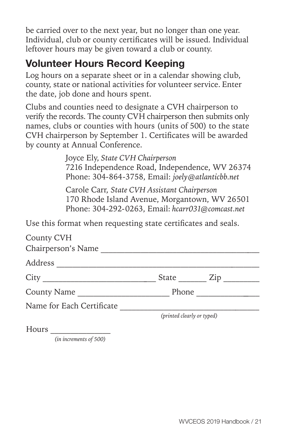be carried over to the next year, but no longer than one year. Individual, club or county certificates will be issued. Individual leftover hours may be given toward a club or county.

### Volunteer Hours Record Keeping

Log hours on a separate sheet or in a calendar showing club, county, state or national activities for volunteer service. Enter the date, job done and hours spent.

Clubs and counties need to designate a CVH chairperson to verify the records. The county CVH chairperson then submits only names, clubs or counties with hours (units of 500) to the state CVH chairperson by September 1. Certificates will be awarded by county at Annual Conference.

> Joyce Ely, *State CVH Chairperson* 7216 Independence Road, Independence, WV 26374 Phone: 304-864-3758, Email: *joely@atlanticbb.net*

> Carole Carr, *State CVH Assistant Chairperson* 170 Rhode Island Avenue, Morgantown, WV 26501 Phone: 304-292-0263, Email: *hcarr031@comcast.net*

Use this format when requesting state certificates and seals.

| County CVH                |                            |     |
|---------------------------|----------------------------|-----|
| Chairperson's Name        |                            |     |
| Address                   |                            |     |
| City                      | State                      | Zip |
| County Name               | Phone                      |     |
| Name for Each Certificate |                            |     |
|                           | (printed clearly or typed) |     |

Hours \_\_\_\_\_\_\_\_\_\_\_\_\_\_\_

*(in increments of 500)*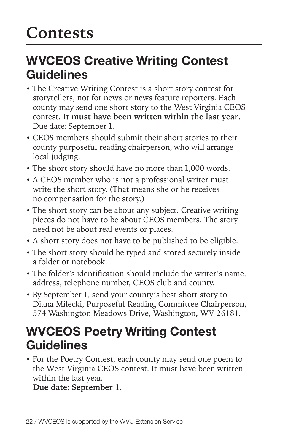# **Contests**

## WVCEOS Creative Writing Contest Guidelines

- The Creative Writing Contest is a short story contest for storytellers, not for news or news feature reporters. Each county may send one short story to the West Virginia CEOS contest. **It must have been written within the last year.** Due date: September 1.
- CEOS members should submit their short stories to their county purposeful reading chairperson, who will arrange local judging.
- The short story should have no more than 1,000 words.
- A CEOS member who is not a professional writer must write the short story. (That means she or he receives no compensation for the story.)
- The short story can be about any subject. Creative writing pieces do not have to be about CEOS members. The story need not be about real events or places.
- A short story does not have to be published to be eligible.
- The short story should be typed and stored securely inside a folder or notebook.
- The folder's identification should include the writer's name, address, telephone number, CEOS club and county.
- By September 1, send your county's best short story to Diana Milecki, Purposeful Reading Committee Chairperson, 574 Washington Meadows Drive, Washington, WV 26181*.*

## WVCEOS Poetry Writing Contest Guidelines

• For the Poetry Contest, each county may send one poem to the West Virginia CEOS contest. It must have been written within the last year.

**Due date: September 1**.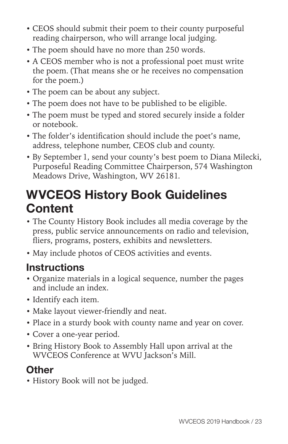- CEOS should submit their poem to their county purposeful reading chairperson, who will arrange local judging.
- The poem should have no more than 250 words.
- A CEOS member who is not a professional poet must write the poem. (That means she or he receives no compensation for the poem.)
- The poem can be about any subject.
- The poem does not have to be published to be eligible.
- The poem must be typed and stored securely inside a folder or notebook.
- The folder's identification should include the poet's name, address, telephone number, CEOS club and county.
- By September 1, send your county's best poem to Diana Milecki, Purposeful Reading Committee Chairperson, 574 Washington Meadows Drive, Washington, WV 26181*.*

## WVCEOS History Book Guidelines **Content**

- The County History Book includes all media coverage by the press, public service announcements on radio and television, fliers, programs, posters, exhibits and newsletters.
- May include photos of CEOS activities and events.

### **Instructions**

- Organize materials in a logical sequence, number the pages and include an index.
- Identify each item.
- Make layout viewer-friendly and neat.
- Place in a sturdy book with county name and year on cover.
- Cover a one-year period.
- Bring History Book to Assembly Hall upon arrival at the WVCEOS Conference at WVU Jackson's Mill.

### **Other**

• History Book will not be judged.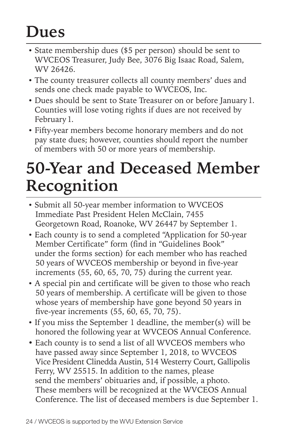# **Dues**

- State membership dues (\$5 per person) should be sent to WVCEOS Treasurer, Judy Bee, 3076 Big Isaac Road, Salem, WV 26426.
- The county treasurer collects all county members' dues and sends one check made payable to WVCEOS, Inc.
- Dues should be sent to State Treasurer on or before January 1. Counties will lose voting rights if dues are not received by February 1.
- Fifty-year members become honorary members and do not pay state dues; however, counties should report the number of members with 50 or more years of membership.

# **50-Year and Deceased Member Recognition**

- Submit all 50-year member information to WVCEOS Immediate Past President Helen McClain, 7455 Georgetown Road, Roanoke, WV 26447 by September 1.
- Each county is to send a completed "Application for 50-year Member Certificate" form (find in "Guidelines Book" under the forms section) for each member who has reached 50 years of WVCEOS membership or beyond in five-year increments (55, 60, 65, 70, 75) during the current year.
- A special pin and certificate will be given to those who reach 50 years of membership. A certificate will be given to those whose years of membership have gone beyond 50 years in five-year increments (55, 60, 65, 70, 75).
- If you miss the September 1 deadline, the member(s) will be honored the following year at WVCEOS Annual Conference.
- Each county is to send a list of all WVCEOS members who have passed away since September 1, 2018, to WVCEOS Vice President Clinedda Austin, 514 Westerry Court, Gallipolis Ferry, WV 25515. In addition to the names, please send the members' obituaries and, if possible, a photo. These members will be recognized at the WVCEOS Annual Conference. The list of deceased members is due September 1.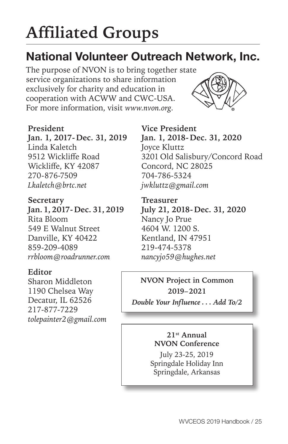# **Affiliated Groups**

## National Volunteer Outreach Network, Inc.

The purpose of NVON is to bring together state service organizations to share information exclusively for charity and education in cooperation with ACWW and CWC-USA. For more information, visit *www.nvon.org.*



**President Jan. 1, 2017 - Dec. 31, 2019**  Linda Kaletch 9512 Wickliffe Road Wickliffe, KY 42087 270-876-7509 *Lkaletch@brtc.net* 

**Secretary Jan. 1, 2017 - Dec. 31, 2019**  Rita Bloom 549 E Walnut Street Danville, KY 40422 859-209-4089 *rrbloom@roadrunner.com*

#### **Editor**

Sharon Middleton 1190 Chelsea Way Decatur, IL 62526 217-877-7229 *tolepainter2@gmail.com*

**Vice President Jan. 1, 2018 - Dec. 31, 2020** Joyce Kluttz 3201 Old Salisbury/Concord Road Concord, NC 28025 704-786-5324 *jwkluttz@gmail.com*

**Treasurer July 21, 2018 - Dec. 31, 2020** Nancy Jo Prue 4604 W. 1200 S. Kentland, IN 47951 219-474-5378 *nancyjo59@hughes.net*

**NVON Project in Common 2019–2021** *Double Your Influence . . . Add To/2*

> **21st Annual NVON Conference**

July 23-25, 2019 Springdale Holiday Inn Springdale, Arkansas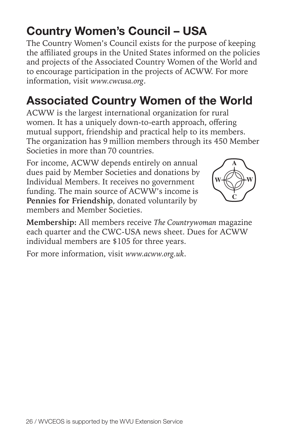## Country Women's Council – USA

The Country Women's Council exists for the purpose of keeping the affiliated groups in the United States informed on the policies and projects of the Associated Country Women of the World and to encourage participation in the projects of ACWW. For more information, visit *www.cwcusa.org*.

## Associated Country Women of the World

ACWW is the largest international organization for rural women. It has a uniquely down-to-earth approach, offering mutual support, friendship and practical help to its members. The organization has 9 million members through its 450 Member Societies in more than 70 countries.

For income, ACWW depends entirely on annual dues paid by Member Societies and donations by Individual Members. It receives no government funding. The main source of ACWW's income is **Pennies for Friendship**, donated voluntarily by members and Member Societies.

**Membership:** All members receive *The Countrywoman* magazine each quarter and the CWC-USA news sheet. Dues for ACWW individual members are \$105 for three years.

For more information, visit *www.acww.org.uk*.

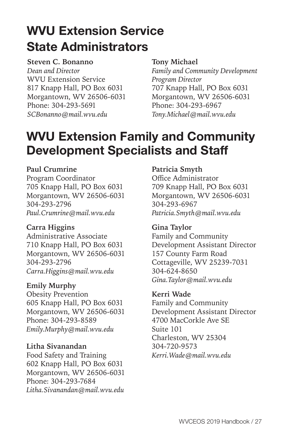# WVU Extension Service State Administrators

#### **Steven C. Bonanno**

*Dean and Director*  WVU Extension Service 817 Knapp Hall, PO Box 6031 Morgantown, WV 26506-6031 Phone: 304-293-5691 *SCBonanno@mail.wvu.edu*

#### **Tony Michael**

*Family and Community Development Program Director* 707 Knapp Hall, PO Box 6031 Morgantown, WV 26506-6031 Phone: 304-293-6967 *Tony.Michael@mail.wvu.edu*

## WVU Extension Family and Community Development Specialists and Staff

#### **Paul Crumrine**

Program Coordinator 705 Knapp Hall, PO Box 6031 Morgantown, WV 26506-6031 304-293-2796 *Paul.Crumrine@mail.wvu.edu*

#### **Carra Higgins**

Administrative Associate 710 Knapp Hall, PO Box 6031 Morgantown, WV 26506-6031 304-293-2796 *Carra.Higgins@mail.wvu.edu*

#### **Emily Murphy**

Obesity Prevention 605 Knapp Hall, PO Box 6031 Morgantown, WV 26506-6031 Phone: 304-293-8589 *Emily.Murphy@mail.wvu.edu* 

#### **Litha Sivanandan**

Food Safety and Training 602 Knapp Hall, PO Box 6031 Morgantown, WV 26506-6031 Phone: 304-293-7684 *Litha.Sivanandan@mail.wvu.edu*

#### **Patricia Smyth**

Office Administrator 709 Knapp Hall, PO Box 6031 Morgantown, WV 26506-6031 304-293-6967 *Patricia.Smyth@mail.wvu.edu*

#### **Gina Taylor**

Family and Community Development Assistant Director 157 County Farm Road Cottageville, WV 25239-7031 304-624-8650 *Gina.Taylor@mail.wvu.edu* 

#### **Kerri Wade**

Family and Community Development Assistant Director 4700 MacCorkle Ave SE Suite 101 Charleston, WV 25304 304-720-9573 *Kerri.Wade@mail.wvu.edu*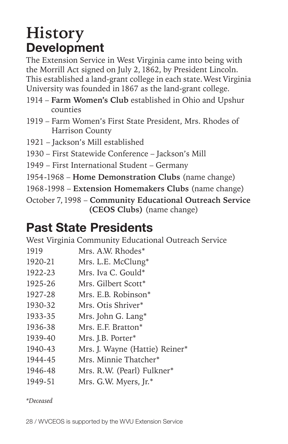# **History** Development

The Extension Service in West Virginia came into being with the Morrill Act signed on July 2, 1862, by President Lincoln. This established a land-grant college in each state. West Virginia University was founded in 1867 as the land-grant college.

- 1914 **Farm Women's Club** established in Ohio and Upshur counties
- 1919 Farm Women's First State President, Mrs. Rhodes of Harrison County
- 1921 Jackson's Mill established
- 1930 First Statewide Conference Jackson's Mill
- 1949 First International Student Germany
- 1954 1968 **Home Demonstration Clubs** (name change)
- 1968-1998 Extension Homemakers Clubs (name change)
- October 7, 1998 **Community Educational Outreach Service (CEOS Clubs)** (name change)

## Past State Presidents

West Virginia Community Educational Outreach Service

- 1919 Mrs. A.W. Rhodes\*
- 1920-21 Mrs. L.E. McClung\*
- 1922-23 Mrs. Iva C. Gould\*
- 1925-26 Mrs. Gilbert Scott\*
- 1927-28 Mrs. E.B. Robinson\*
- 1930-32 Mrs. Otis Shriver\*
- 1933-35 Mrs. John G. Lang\*
- 1936-38 Mrs. E.F. Bratton\*
- 1939-40 Mrs. J.B. Porter\*
- 1940-43 Mrs. J. Wayne (Hattie) Reiner\*
- 1944-45 Mrs. Minnie Thatcher\*
- 1946-48 Mrs. R.W. (Pearl) Fulkner\*
- 1949-51 Mrs. G.W. Myers, Jr.\*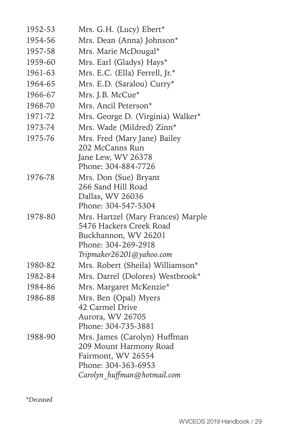| 1952-53 | Mrs. G.H. (Lucy) Ebert*                   |
|---------|-------------------------------------------|
| 1954-56 | Mrs. Dean (Anna) Johnson*                 |
| 1957-58 | Mrs. Marie McDougal*                      |
| 1959-60 | Mrs. Earl (Gladys) Hays*                  |
| 1961-63 | Mrs. E.C. (Ella) Ferrell, Jr.*            |
| 1964-65 | Mrs. E.D. (Saralou) Curry*                |
| 1966-67 | Mrs. J.B. McCue*                          |
| 1968-70 | Mrs. Ancil Peterson*                      |
| 1971-72 | Mrs. George D. (Virginia) Walker*         |
| 1973-74 | Mrs. Wade (Mildred) Zinn*                 |
| 1975-76 | Mrs. Fred (Mary Jane) Bailey              |
|         | 202 McCanns Run                           |
|         | Jane Lew, WV 26378                        |
|         | Phone: 304-884-7726                       |
| 1976-78 | Mrs. Don (Sue) Bryant                     |
|         | 266 Sand Hill Road                        |
|         | Dallas, WV 26036<br>Phone: 304-547-5304   |
| 1978-80 | Mrs. Hartzel (Mary Frances) Marple        |
|         | 5476 Hackers Creek Road                   |
|         | Buckhannon, WV 26201                      |
|         | Phone: 304-269-2918                       |
|         | Tripmaker26201@yahoo.com                  |
| 1980-82 | Mrs. Robert (Sheila) Williamson*          |
| 1982-84 | Mrs. Darrel (Dolores) Westbrook*          |
| 1984-86 | Mrs. Margaret McKenzie*                   |
| 1986-88 | Mrs. Ben (Opal) Myers                     |
|         | 42 Carmel Drive                           |
|         | Aurora, WV 26705                          |
|         | Phone: 304-735-3881                       |
| 1988-90 | Mrs. James (Carolyn) Huffman              |
|         | 209 Mount Harmony Road                    |
|         | Fairmont, WV 26554<br>Phone: 304-363-6953 |
|         | Carolyn huffman@hotmail.com               |
|         |                                           |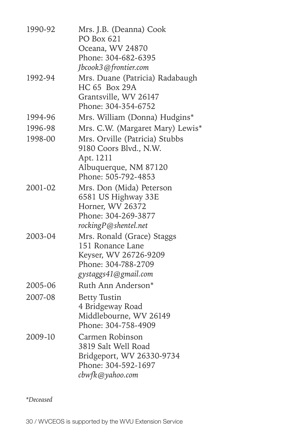| 1990-92 | Mrs. J.B. (Deanna) Cook<br>PO Box 621<br>Oceana, WV 24870<br>Phone: 304-682-6395                                         |
|---------|--------------------------------------------------------------------------------------------------------------------------|
| 1992-94 | Jbcook3@frontier.com<br>Mrs. Duane (Patricia) Radabaugh<br>HC 65 Box 29A<br>Grantsville, WV 26147<br>Phone: 304-354-6752 |
| 1994-96 | Mrs. William (Donna) Hudgins*                                                                                            |
| 1996-98 | Mrs. C.W. (Margaret Mary) Lewis*                                                                                         |
| 1998-00 | Mrs. Orville (Patricia) Stubbs<br>9180 Coors Blvd., N.W.<br>Apt. 1211<br>Albuquerque, NM 87120                           |
|         | Phone: 505-792-4853                                                                                                      |
| 2001-02 | Mrs. Don (Mida) Peterson<br>6581 US Highway 33E<br>Horner, WV 26372<br>Phone: 304-269-3877<br>rockingP@shentel.net       |
| 2003-04 | Mrs. Ronald (Grace) Staggs<br>151 Ronance Lane<br>Keyser, WV 26726-9209<br>Phone: 304-788-2709<br>gystaggs41@gmail.com   |
| 2005-06 | Ruth Ann Anderson*                                                                                                       |
| 2007-08 | <b>Betty Tustin</b><br>4 Bridgeway Road<br>Middlebourne, WV 26149<br>Phone: 304-758-4909                                 |
| 2009-10 | Carmen Robinson<br>3819 Salt Well Road<br>Bridgeport, WV 26330-9734<br>Phone: 304-592-1697<br>cbwfk@yahoo.com            |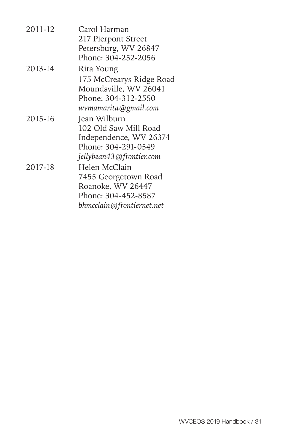| 2011-12 | Carol Harman<br>217 Pierpont Street               |
|---------|---------------------------------------------------|
|         | Petersburg, WV 26847                              |
|         | Phone: 304-252-2056                               |
| 2013-14 | Rita Young                                        |
|         | 175 McCrearys Ridge Road<br>Moundsville, WV 26041 |
|         | Phone: 304-312-2550<br>wvmamarita@gmail.com       |
| 2015-16 | Jean Wilburn                                      |
|         | 102 Old Saw Mill Road                             |
|         | Independence, WV 26374                            |
|         | Phone: 304-291-0549                               |
|         | jellybean43@frontier.com                          |
| 2017-18 | Helen McClain                                     |
|         | 7455 Georgetown Road                              |
|         | Roanoke, WV 26447                                 |
|         | Phone: 304-452-8587                               |
|         | bhmcclain@frontiernet.net                         |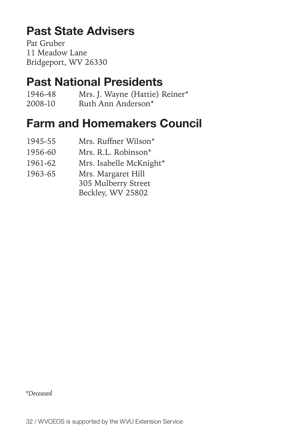## Past State Advisers

Pat Gruber 11 Meadow Lane Bridgeport, WV 26330

### Past National Presidents

1946-48 Mrs. J. Wayne (Hattie) Reiner\* 2008-10 Ruth Ann Anderson\*

### Farm and Homemakers Council

- 1945-55 Mrs. Ruffner Wilson\*
- 1956-60 Mrs. R.L. Robinson\*
- 1961-62 Mrs. Isabelle McKnight\*
- 1963-65 Mrs. Margaret Hill
	- 305 Mulberry Street
		- Beckley, WV 25802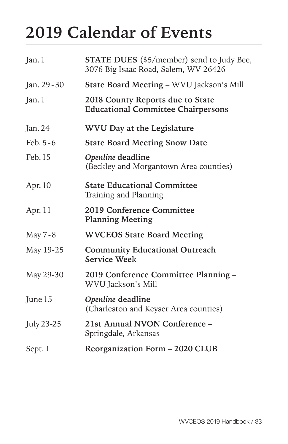# **2019 Calendar of Events**

| Jan. 1       | <b>STATE DUES</b> (\$5/member) send to Judy Bee,<br>3076 Big Isaac Road, Salem, WV 26426 |  |  |
|--------------|------------------------------------------------------------------------------------------|--|--|
| Jan. 29 - 30 | State Board Meeting - WVU Jackson's Mill                                                 |  |  |
| Jan. 1       | 2018 County Reports due to State<br><b>Educational Committee Chairpersons</b>            |  |  |
| Jan. 24      | WVU Day at the Legislature                                                               |  |  |
| Feb. 5 - 6   | <b>State Board Meeting Snow Date</b>                                                     |  |  |
| Feb. 15      | Openline deadline<br>(Beckley and Morgantown Area counties)                              |  |  |
| Apr. 10      | <b>State Educational Committee</b><br>Training and Planning                              |  |  |
| Apr. 11      | 2019 Conference Committee<br><b>Planning Meeting</b>                                     |  |  |
| May 7 - 8    | <b>WVCEOS State Board Meeting</b>                                                        |  |  |
| May 19-25    | <b>Community Educational Outreach</b><br><b>Service Week</b>                             |  |  |
| May 29-30    | 2019 Conference Committee Planning -<br>WVU Jackson's Mill                               |  |  |
| June 15      | Openline deadline<br>(Charleston and Keyser Area counties)                               |  |  |
| July 23-25   | 21st Annual NVON Conference -<br>Springdale, Arkansas                                    |  |  |
| Sept. 1      | Reorganization Form - 2020 CLUB                                                          |  |  |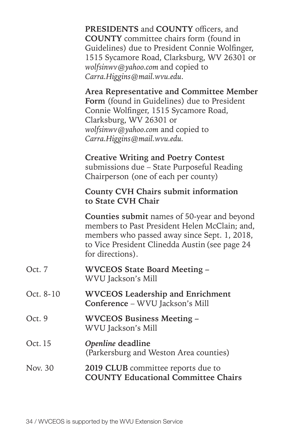| PRESIDENTS and COUNTY officers, and            |
|------------------------------------------------|
| <b>COUNTY</b> committee chairs form (found in  |
| Guidelines) due to President Connie Wolfinger, |
| 1515 Sycamore Road, Clarksburg, WV 26301 or    |
| wolfsinwv@yahoo.com and copied to              |
| Carra. Higgins @mail.wvu.edu.                  |

**Area Representative and Committee Member Form** (found in Guidelines) due to President Connie Wolfinger, 1515 Sycamore Road, Clarksburg, WV 26301 or *wolfsinwv@yahoo.com* and copied to *Carra.Higgins@mail.wvu.edu.*

**Creative Writing and Poetry Contest**  submissions due – State Purposeful Reading Chairperson (one of each per county)

#### **County CVH Chairs submit information to State CVH Chair**

**Counties submit** names of 50-year and beyond members to Past President Helen McClain; and, members who passed away since Sept. 1, 2018, to Vice President Clinedda Austin (see page 24 for directions).

| Oct. 7 | <b>WVCEOS State Board Meeting -</b> |
|--------|-------------------------------------|
|        | WVU Jackson's Mill                  |

- Oct. 8-10 **WVCEOS Leadership and Enrichment Conference** – WVU Jackson's Mill
- Oct. 9 **WVCEOS Business Meeting**  WVU Jackson's Mill

#### Oct. 15 *Openline* **deadline**  (Parkersburg and Weston Area counties)

#### Nov. 30 **2019 CLUB** committee reports due to **COUNTY Educational Committee Chairs**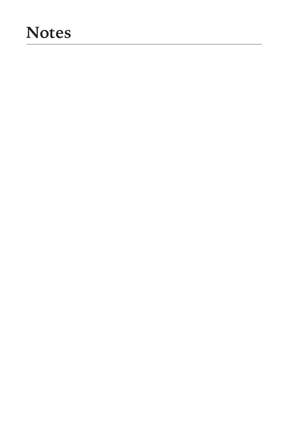# **Notes**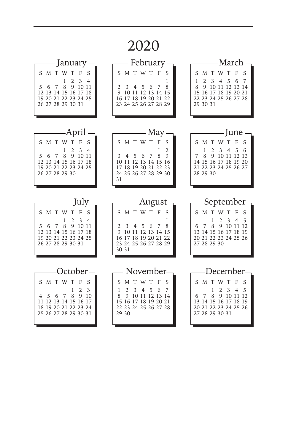# 2020

| January -                                                                                                                                                                                           | — February <sub>:</sub>                                                                                                                                         | -March                                                                                                                                                                                |
|-----------------------------------------------------------------------------------------------------------------------------------------------------------------------------------------------------|-----------------------------------------------------------------------------------------------------------------------------------------------------------------|---------------------------------------------------------------------------------------------------------------------------------------------------------------------------------------|
| SMTWTF<br>S<br>$\overline{2}$<br>$\mathbf{1}$<br>$3 \quad 4$<br>8<br>9 10 11<br>5<br>6<br>7<br>12 13 14 15 16 17 18<br>19 20 21 22 23 24 25<br>26 27 28 29 30 31                                    | SMTWTF<br>S<br>1<br>$\overline{2}$<br>3<br>4 5<br>8<br>6<br>7<br>9<br>10 11 12 13 14 15<br>16 17 18 19 20 21 22<br>23 24 25 26 27 28 29                         | S M T W T<br>- F<br>S<br>1<br>2<br>3 4 5 6<br>7<br>8<br>9 10 11 12 13 14<br>15 16 17 18 19 20 21<br>22 23 24 25 26 27 28<br>29 30 31                                                  |
| -April<br>SMTWT<br>$-F$<br>S<br>$\overline{2}$<br>$\mathbf{1}$<br>$\overline{3}$<br>$\overline{4}$<br>8<br>7<br>9 10 11<br>5<br>6<br>12 13 14 15 16 17 18<br>19 20 21 22 23 24 25<br>26 27 28 29 30 | —— May -<br>SMTWTF<br>S<br>$\overline{2}$<br>1<br>8<br>9<br>3<br>5<br>7<br>4<br>6<br>10 11 12 13 14 15 16<br>17 18 19 20 21 22 23<br>24 25 26 27 28 29 30<br>31 | - June -<br>SMTWTF<br>S<br>$\overline{2}$<br>$3\quad 4$<br>5<br>1<br>6<br>7<br>8<br>9 10 11 12 13<br>14 15 16 17 18 19 20<br>21 22 23 24 25 26 27<br>28 29 30                         |
|                                                                                                                                                                                                     |                                                                                                                                                                 |                                                                                                                                                                                       |
| —— July $\neg$<br>SMTWT<br>F<br>S<br>$\overline{2}$<br>3<br>1<br>4<br>8<br>7<br>9 10 11<br>5<br>6<br>12 13 14 15 16 17 18<br>19 20 21 22 23 24 25<br>26 27 28 29 30 31                              | —— August-<br>S M T W T F<br>- S<br>1<br>2<br>3<br>4 5 6<br>8<br>7<br>9 10 11 12 13 14 15<br>16 17 18 19 20 21 22<br>23 24 25 26 27 28 29<br>30 31              | —September-<br>S M T W T F<br>S<br>$\overline{2}$<br>1<br>$\overline{\mathbf{3}}$<br>5<br>4<br>8<br>9 10 11<br>12<br>7<br>13 14 15 16 17 18 19<br>20 21 22 23 24 25 26<br>27 28 29 30 |